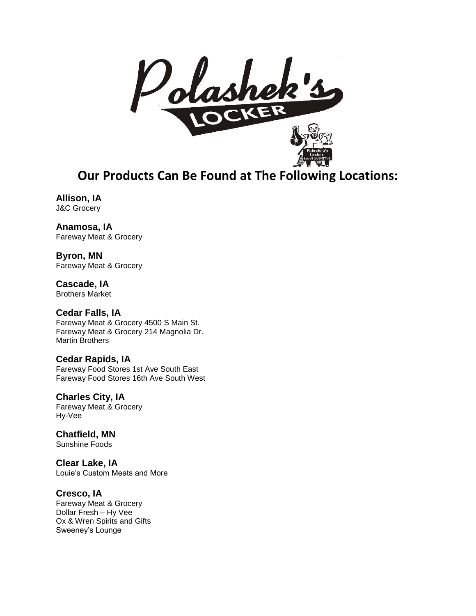

**Our Products Can Be Found at The Following Locations:**

**Allison, IA** J&C Grocery

**Anamosa, IA** Fareway Meat & Grocery

**Byron, MN** Fareway Meat & Grocery

**Cascade, IA**  Brothers Market

**Cedar Falls, IA**  Fareway Meat & Grocery 4500 S Main St. Fareway Meat & Grocery 214 Magnolia Dr. Martin Brothers

**Cedar Rapids, IA** Fareway Food Stores 1st Ave South East Fareway Food Stores 16th Ave South West

**Charles City, IA** Fareway Meat & Grocery Hy-Vee

**Chatfield, MN** Sunshine Foods

**Clear Lake, IA** Louie's Custom Meats and More

## **Cresco, IA**

Fareway Meat & Grocery Dollar Fresh – Hy Vee Ox & Wren Spirits and Gifts Sweeney's Lounge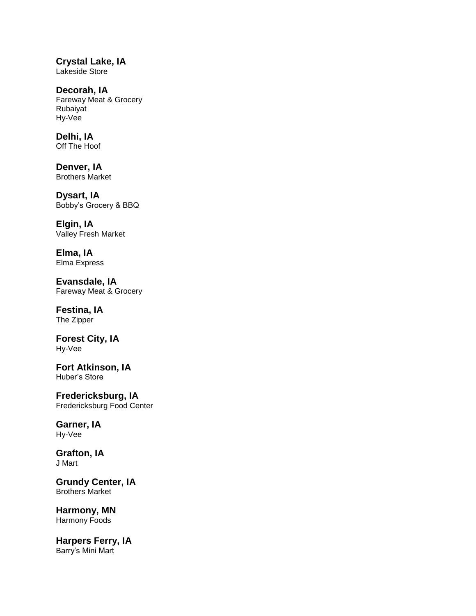**Crystal Lake, IA** Lakeside Store

**Decorah, IA** Fareway Meat & Grocery Rubaiyat Hy-Vee

**Delhi, IA** Off The Hoof

**Denver, IA** Brothers Market

**Dysart, IA** Bobby's Grocery & BBQ

**Elgin, IA** Valley Fresh Market

**Elma, IA** Elma Express

**Evansdale, IA** Fareway Meat & Grocery

## **Festina, IA**

The Zipper

**Forest City, IA** Hy-Vee

**Fort Atkinson, IA** Huber's Store

**Fredericksburg, IA** Fredericksburg Food Center

## **Garner, IA** Hy-Vee

**Grafton, IA** J Mart

**Grundy Center, IA** Brothers Market

**Harmony, MN** Harmony Foods

**Harpers Ferry, IA** Barry's Mini Mart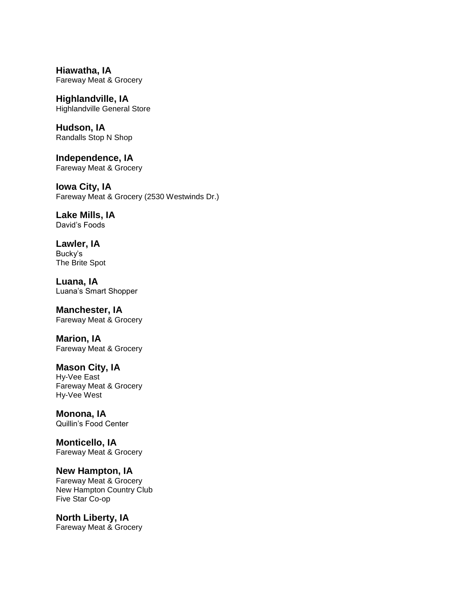**Hiawatha, IA** Fareway Meat & Grocery

**Highlandville, IA** Highlandville General Store

**Hudson, IA** Randalls Stop N Shop

**Independence, IA** Fareway Meat & Grocery

**Iowa City, IA** Fareway Meat & Grocery (2530 Westwinds Dr.)

**Lake Mills, IA** David's Foods

**Lawler, IA** Bucky's The Brite Spot

**Luana, IA** Luana's Smart Shopper

**Manchester, IA** Fareway Meat & Grocery

**Marion, IA** Fareway Meat & Grocery

## **Mason City, IA**

Hy-Vee East Fareway Meat & Grocery Hy-Vee West

**Monona, IA** Quillin's Food Center

**Monticello, IA** Fareway Meat & Grocery

**New Hampton, IA** Fareway Meat & Grocery

New Hampton Country Club Five Star Co-op

**North Liberty, IA** Fareway Meat & Grocery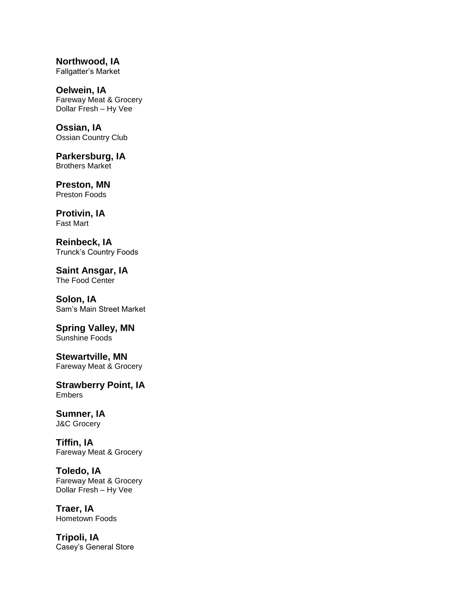**Northwood, IA** Fallgatter's Market

**Oelwein, IA** Fareway Meat & Grocery Dollar Fresh – Hy Vee

**Ossian, IA** Ossian Country Club

**Parkersburg, IA** Brothers Market

**Preston, MN** Preston Foods

**Protivin, IA** Fast Mart

**Reinbeck, IA** Trunck's Country Foods

**Saint Ansgar, IA** The Food Center

**Solon, IA** Sam's Main Street Market

**Spring Valley, MN**  Sunshine Foods

**Stewartville, MN**  Fareway Meat & Grocery

**Strawberry Point, IA** Embers

**Sumner, IA** J&C Grocery

**Tiffin, IA** Fareway Meat & Grocery

**Toledo, IA** Fareway Meat & Grocery Dollar Fresh – Hy Vee

**Traer, IA** Hometown Foods

**Tripoli, IA** Casey's General Store